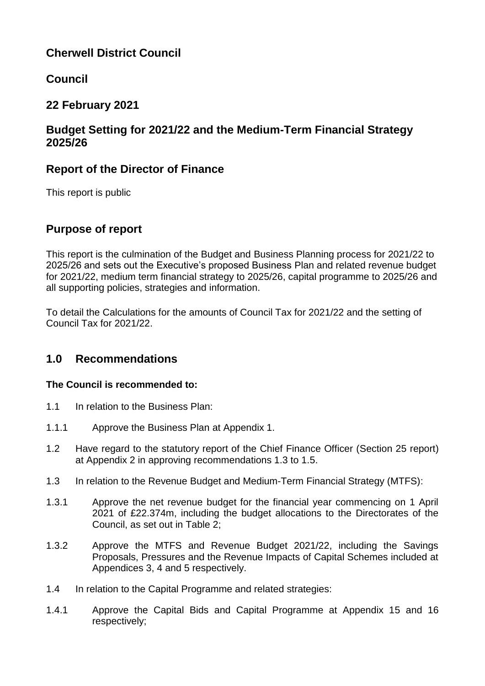# **Cherwell District Council**

# **Council**

# **22 February 2021**

## **Budget Setting for 2021/22 and the Medium-Term Financial Strategy 2025/26**

## **Report of the Director of Finance**

This report is public

# **Purpose of report**

This report is the culmination of the Budget and Business Planning process for 2021/22 to 2025/26 and sets out the Executive's proposed Business Plan and related revenue budget for 2021/22, medium term financial strategy to 2025/26, capital programme to 2025/26 and all supporting policies, strategies and information.

To detail the Calculations for the amounts of Council Tax for 2021/22 and the setting of Council Tax for 2021/22.

# **1.0 Recommendations**

## **The Council is recommended to:**

- 1.1 In relation to the Business Plan:
- 1.1.1 Approve the Business Plan at Appendix 1.
- 1.2 Have regard to the statutory report of the Chief Finance Officer (Section 25 report) at Appendix 2 in approving recommendations 1.3 to 1.5.
- 1.3 In relation to the Revenue Budget and Medium-Term Financial Strategy (MTFS):
- 1.3.1 Approve the net revenue budget for the financial year commencing on 1 April 2021 of £22.374m, including the budget allocations to the Directorates of the Council, as set out in Table 2;
- 1.3.2 Approve the MTFS and Revenue Budget 2021/22, including the Savings Proposals, Pressures and the Revenue Impacts of Capital Schemes included at Appendices 3, 4 and 5 respectively.
- 1.4 In relation to the Capital Programme and related strategies:
- 1.4.1 Approve the Capital Bids and Capital Programme at Appendix 15 and 16 respectively;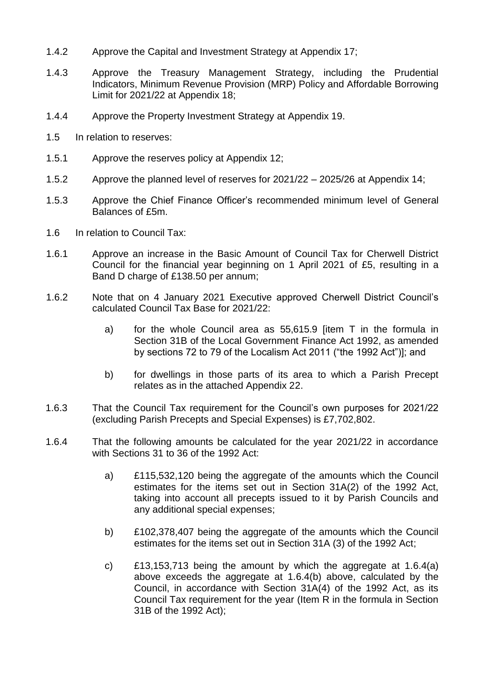- 1.4.2 Approve the Capital and Investment Strategy at Appendix 17;
- 1.4.3 Approve the Treasury Management Strategy, including the Prudential Indicators, Minimum Revenue Provision (MRP) Policy and Affordable Borrowing Limit for 2021/22 at Appendix 18;
- 1.4.4 Approve the Property Investment Strategy at Appendix 19.
- 1.5 In relation to reserves:
- 1.5.1 Approve the reserves policy at Appendix 12;
- 1.5.2 Approve the planned level of reserves for 2021/22 2025/26 at Appendix 14;
- 1.5.3 Approve the Chief Finance Officer's recommended minimum level of General Balances of £5m.
- 1.6 In relation to Council Tax:
- 1.6.1 Approve an increase in the Basic Amount of Council Tax for Cherwell District Council for the financial year beginning on 1 April 2021 of £5, resulting in a Band D charge of £138.50 per annum;
- 1.6.2 Note that on 4 January 2021 Executive approved Cherwell District Council's calculated Council Tax Base for 2021/22:
	- a) for the whole Council area as 55,615.9 [item T in the formula in Section 31B of the Local Government Finance Act 1992, as amended by sections 72 to 79 of the Localism Act 2011 ("the 1992 Act")]; and
	- b) for dwellings in those parts of its area to which a Parish Precept relates as in the attached Appendix 22.
- 1.6.3 That the Council Tax requirement for the Council's own purposes for 2021/22 (excluding Parish Precepts and Special Expenses) is £7,702,802.
- 1.6.4 That the following amounts be calculated for the year 2021/22 in accordance with Sections 31 to 36 of the 1992 Act:
	- a) £115,532,120 being the aggregate of the amounts which the Council estimates for the items set out in Section 31A(2) of the 1992 Act, taking into account all precepts issued to it by Parish Councils and any additional special expenses;
	- b) £102,378,407 being the aggregate of the amounts which the Council estimates for the items set out in Section 31A (3) of the 1992 Act;
	- c) £13,153,713 being the amount by which the aggregate at 1.6.4(a) above exceeds the aggregate at 1.6.4(b) above, calculated by the Council, in accordance with Section 31A(4) of the 1992 Act, as its Council Tax requirement for the year (Item R in the formula in Section 31B of the 1992 Act);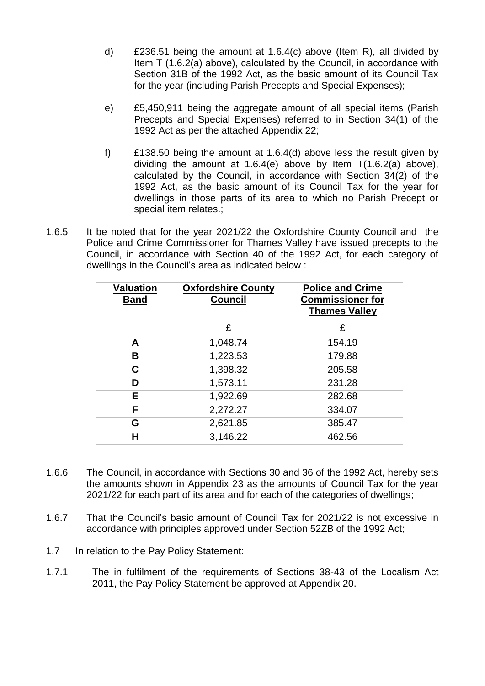- d) £236.51 being the amount at 1.6.4(c) above (Item R), all divided by Item T (1.6.2(a) above), calculated by the Council, in accordance with Section 31B of the 1992 Act, as the basic amount of its Council Tax for the year (including Parish Precepts and Special Expenses);
- e) £5,450,911 being the aggregate amount of all special items (Parish Precepts and Special Expenses) referred to in Section 34(1) of the 1992 Act as per the attached Appendix 22;
- f) £138.50 being the amount at 1.6.4(d) above less the result given by dividing the amount at 1.6.4(e) above by Item T(1.6.2(a) above), calculated by the Council, in accordance with Section 34(2) of the 1992 Act, as the basic amount of its Council Tax for the year for dwellings in those parts of its area to which no Parish Precept or special item relates.;
- 1.6.5 It be noted that for the year 2021/22 the Oxfordshire County Council and the Police and Crime Commissioner for Thames Valley have issued precepts to the Council, in accordance with Section 40 of the 1992 Act, for each category of dwellings in the Council's area as indicated below :

| <b>Valuation</b><br><b>Band</b> | <b>Oxfordshire County</b><br><b>Council</b> | <b>Police and Crime</b><br><b>Commissioner for</b><br><b>Thames Valley</b> |
|---------------------------------|---------------------------------------------|----------------------------------------------------------------------------|
|                                 | £                                           | £                                                                          |
| A                               | 1,048.74                                    | 154.19                                                                     |
| в                               | 1,223.53                                    | 179.88                                                                     |
| С                               | 1,398.32                                    | 205.58                                                                     |
| D                               | 1,573.11                                    | 231.28                                                                     |
| E.                              | 1,922.69                                    | 282.68                                                                     |
| F                               | 2,272.27                                    | 334.07                                                                     |
| G                               | 2,621.85                                    | 385.47                                                                     |
| н                               | 3,146.22                                    | 462.56                                                                     |

- 1.6.6 The Council, in accordance with Sections 30 and 36 of the 1992 Act, hereby sets the amounts shown in Appendix 23 as the amounts of Council Tax for the year 2021/22 for each part of its area and for each of the categories of dwellings;
- 1.6.7 That the Council's basic amount of Council Tax for 2021/22 is not excessive in accordance with principles approved under Section 52ZB of the 1992 Act;
- 1.7 In relation to the Pay Policy Statement:
- 1.7.1 The in fulfilment of the requirements of Sections 38-43 of the Localism Act 2011, the Pay Policy Statement be approved at Appendix 20.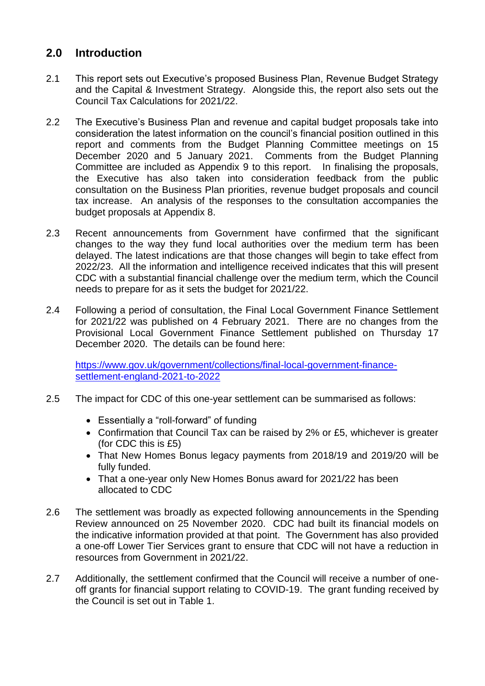# **2.0 Introduction**

- 2.1 This report sets out Executive's proposed Business Plan, Revenue Budget Strategy and the Capital & Investment Strategy. Alongside this, the report also sets out the Council Tax Calculations for 2021/22.
- 2.2 The Executive's Business Plan and revenue and capital budget proposals take into consideration the latest information on the council's financial position outlined in this report and comments from the Budget Planning Committee meetings on 15 December 2020 and 5 January 2021. Comments from the Budget Planning Committee are included as Appendix 9 to this report. In finalising the proposals, the Executive has also taken into consideration feedback from the public consultation on the Business Plan priorities, revenue budget proposals and council tax increase. An analysis of the responses to the consultation accompanies the budget proposals at Appendix 8.
- 2.3 Recent announcements from Government have confirmed that the significant changes to the way they fund local authorities over the medium term has been delayed. The latest indications are that those changes will begin to take effect from 2022/23. All the information and intelligence received indicates that this will present CDC with a substantial financial challenge over the medium term, which the Council needs to prepare for as it sets the budget for 2021/22.
- 2.4 Following a period of consultation, the Final Local Government Finance Settlement for 2021/22 was published on 4 February 2021. There are no changes from the Provisional Local Government Finance Settlement published on Thursday 17 December 2020. The details can be found here:

[https://www.gov.uk/government/collections/final-local-government-finance](https://www.gov.uk/government/collections/final-local-government-finance-settlement-england-2021-to-2022)[settlement-england-2021-to-2022](https://www.gov.uk/government/collections/final-local-government-finance-settlement-england-2021-to-2022)

- 2.5 The impact for CDC of this one-year settlement can be summarised as follows:
	- Essentially a "roll-forward" of funding
	- Confirmation that Council Tax can be raised by 2% or £5, whichever is greater (for CDC this is £5)
	- That New Homes Bonus legacy payments from 2018/19 and 2019/20 will be fully funded.
	- That a one-year only New Homes Bonus award for 2021/22 has been allocated to CDC
- 2.6 The settlement was broadly as expected following announcements in the Spending Review announced on 25 November 2020. CDC had built its financial models on the indicative information provided at that point. The Government has also provided a one-off Lower Tier Services grant to ensure that CDC will not have a reduction in resources from Government in 2021/22.
- 2.7 Additionally, the settlement confirmed that the Council will receive a number of oneoff grants for financial support relating to COVID-19. The grant funding received by the Council is set out in Table 1.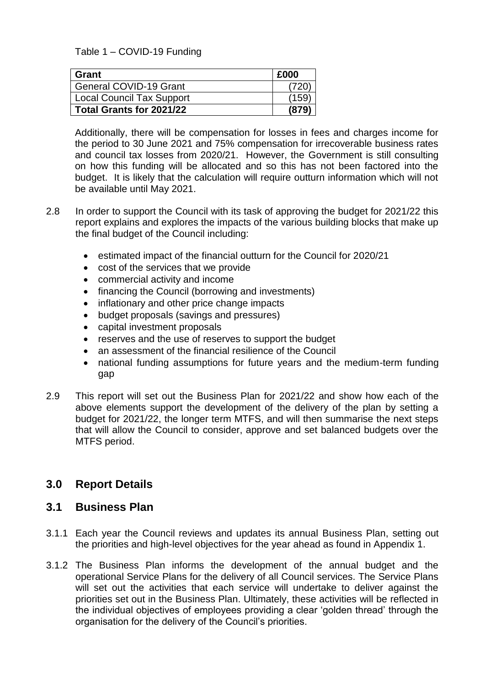Table 1 – COVID-19 Funding

| Grant                            | £000  |
|----------------------------------|-------|
| <b>General COVID-19 Grant</b>    |       |
| <b>Local Council Tax Support</b> | '159. |
| Total Grants for 2021/22         | (87   |

Additionally, there will be compensation for losses in fees and charges income for the period to 30 June 2021 and 75% compensation for irrecoverable business rates and council tax losses from 2020/21. However, the Government is still consulting on how this funding will be allocated and so this has not been factored into the budget. It is likely that the calculation will require outturn information which will not be available until May 2021.

- 2.8 In order to support the Council with its task of approving the budget for 2021/22 this report explains and explores the impacts of the various building blocks that make up the final budget of the Council including:
	- estimated impact of the financial outturn for the Council for 2020/21
	- cost of the services that we provide
	- commercial activity and income
	- financing the Council (borrowing and investments)
	- inflationary and other price change impacts
	- budget proposals (savings and pressures)
	- capital investment proposals
	- reserves and the use of reserves to support the budget
	- an assessment of the financial resilience of the Council
	- national funding assumptions for future years and the medium-term funding gap
- 2.9 This report will set out the Business Plan for 2021/22 and show how each of the above elements support the development of the delivery of the plan by setting a budget for 2021/22, the longer term MTFS, and will then summarise the next steps that will allow the Council to consider, approve and set balanced budgets over the MTFS period.

## **3.0 Report Details**

## **3.1 Business Plan**

- 3.1.1 Each year the Council reviews and updates its annual Business Plan, setting out the priorities and high-level objectives for the year ahead as found in Appendix 1.
- 3.1.2 The Business Plan informs the development of the annual budget and the operational Service Plans for the delivery of all Council services. The Service Plans will set out the activities that each service will undertake to deliver against the priorities set out in the Business Plan. Ultimately, these activities will be reflected in the individual objectives of employees providing a clear 'golden thread' through the organisation for the delivery of the Council's priorities.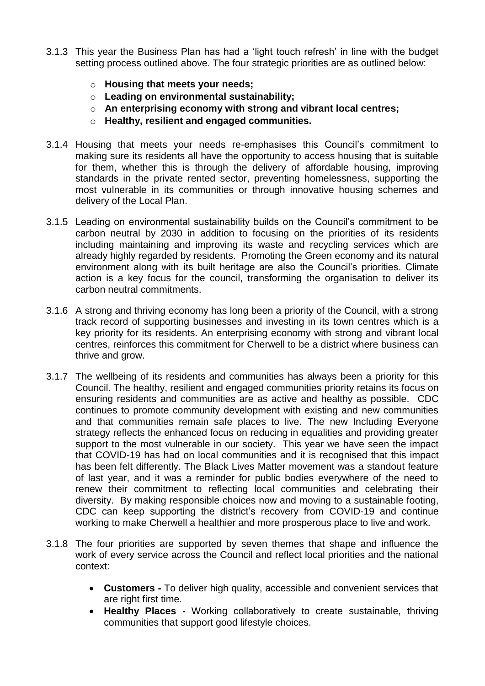- 3.1.3 This year the Business Plan has had a 'light touch refresh' in line with the budget setting process outlined above. The four strategic priorities are as outlined below:
	- o **Housing that meets your needs;**
	- o **Leading on environmental sustainability;**
	- o **An enterprising economy with strong and vibrant local centres;**
	- o **Healthy, resilient and engaged communities.**
- 3.1.4 Housing that meets your needs re-emphasises this Council's commitment to making sure its residents all have the opportunity to access housing that is suitable for them, whether this is through the delivery of affordable housing, improving standards in the private rented sector, preventing homelessness, supporting the most vulnerable in its communities or through innovative housing schemes and delivery of the Local Plan.
- 3.1.5 Leading on environmental sustainability builds on the Council's commitment to be carbon neutral by 2030 in addition to focusing on the priorities of its residents including maintaining and improving its waste and recycling services which are already highly regarded by residents. Promoting the Green economy and its natural environment along with its built heritage are also the Council's priorities. Climate action is a key focus for the council, transforming the organisation to deliver its carbon neutral commitments.
- 3.1.6 A strong and thriving economy has long been a priority of the Council, with a strong track record of supporting businesses and investing in its town centres which is a key priority for its residents. An enterprising economy with strong and vibrant local centres, reinforces this commitment for Cherwell to be a district where business can thrive and grow.
- 3.1.7 The wellbeing of its residents and communities has always been a priority for this Council. The healthy, resilient and engaged communities priority retains its focus on ensuring residents and communities are as active and healthy as possible. CDC continues to promote community development with existing and new communities and that communities remain safe places to live. The new Including Everyone strategy reflects the enhanced focus on reducing in equalities and providing greater support to the most vulnerable in our society. This year we have seen the impact that COVID-19 has had on local communities and it is recognised that this impact has been felt differently. The Black Lives Matter movement was a standout feature of last year, and it was a reminder for public bodies everywhere of the need to renew their commitment to reflecting local communities and celebrating their diversity. By making responsible choices now and moving to a sustainable footing, CDC can keep supporting the district's recovery from COVID-19 and continue working to make Cherwell a healthier and more prosperous place to live and work.
- 3.1.8 The four priorities are supported by seven themes that shape and influence the work of every service across the Council and reflect local priorities and the national context:
	- **Customers -** To deliver high quality, accessible and convenient services that are right first time.
	- **Healthy Places -** Working collaboratively to create sustainable, thriving communities that support good lifestyle choices.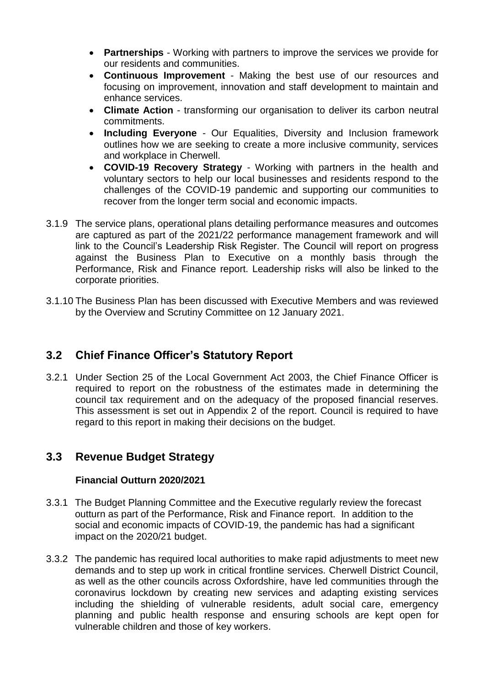- **Partnerships**  Working with partners to improve the services we provide for our residents and communities.
- **Continuous Improvement** Making the best use of our resources and focusing on improvement, innovation and staff development to maintain and enhance services.
- **Climate Action** transforming our organisation to deliver its carbon neutral commitments.
- **Including Everyone** Our Equalities, Diversity and Inclusion framework outlines how we are seeking to create a more inclusive community, services and workplace in Cherwell.
- **COVID-19 Recovery Strategy** Working with partners in the health and voluntary sectors to help our local businesses and residents respond to the challenges of the COVID-19 pandemic and supporting our communities to recover from the longer term social and economic impacts.
- 3.1.9 The service plans, operational plans detailing performance measures and outcomes are captured as part of the 2021/22 performance management framework and will link to the Council's Leadership Risk Register. The Council will report on progress against the Business Plan to Executive on a monthly basis through the Performance, Risk and Finance report. Leadership risks will also be linked to the corporate priorities.
- 3.1.10 The Business Plan has been discussed with Executive Members and was reviewed by the Overview and Scrutiny Committee on 12 January 2021.

# **3.2 Chief Finance Officer's Statutory Report**

3.2.1 Under Section 25 of the Local Government Act 2003, the Chief Finance Officer is required to report on the robustness of the estimates made in determining the council tax requirement and on the adequacy of the proposed financial reserves. This assessment is set out in Appendix 2 of the report. Council is required to have regard to this report in making their decisions on the budget.

# **3.3 Revenue Budget Strategy**

## **Financial Outturn 2020/2021**

- 3.3.1 The Budget Planning Committee and the Executive regularly review the forecast outturn as part of the Performance, Risk and Finance report. In addition to the social and economic impacts of COVID-19, the pandemic has had a significant impact on the 2020/21 budget.
- 3.3.2 The pandemic has required local authorities to make rapid adjustments to meet new demands and to step up work in critical frontline services. Cherwell District Council, as well as the other councils across Oxfordshire, have led communities through the coronavirus lockdown by creating new services and adapting existing services including the shielding of vulnerable residents, adult social care, emergency planning and public health response and ensuring schools are kept open for vulnerable children and those of key workers.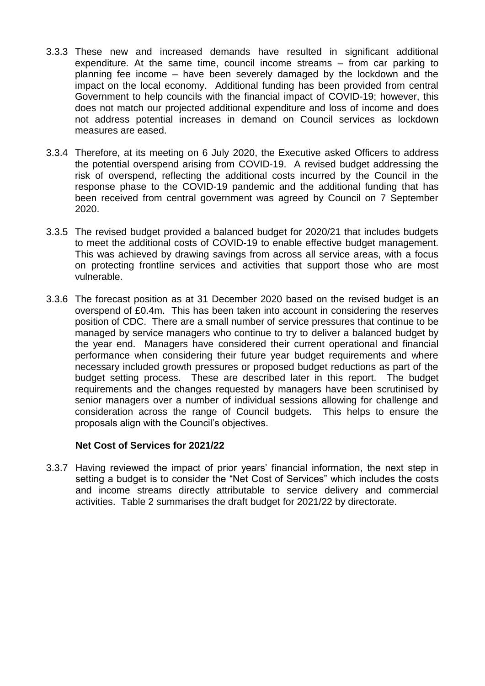- 3.3.3 These new and increased demands have resulted in significant additional expenditure. At the same time, council income streams – from car parking to planning fee income – have been severely damaged by the lockdown and the impact on the local economy. Additional funding has been provided from central Government to help councils with the financial impact of COVID-19; however, this does not match our projected additional expenditure and loss of income and does not address potential increases in demand on Council services as lockdown measures are eased.
- 3.3.4 Therefore, at its meeting on 6 July 2020, the Executive asked Officers to address the potential overspend arising from COVID-19. A revised budget addressing the risk of overspend, reflecting the additional costs incurred by the Council in the response phase to the COVID-19 pandemic and the additional funding that has been received from central government was agreed by Council on 7 September 2020.
- 3.3.5 The revised budget provided a balanced budget for 2020/21 that includes budgets to meet the additional costs of COVID-19 to enable effective budget management. This was achieved by drawing savings from across all service areas, with a focus on protecting frontline services and activities that support those who are most vulnerable.
- 3.3.6 The forecast position as at 31 December 2020 based on the revised budget is an overspend of £0.4m. This has been taken into account in considering the reserves position of CDC. There are a small number of service pressures that continue to be managed by service managers who continue to try to deliver a balanced budget by the year end. Managers have considered their current operational and financial performance when considering their future year budget requirements and where necessary included growth pressures or proposed budget reductions as part of the budget setting process. These are described later in this report. The budget requirements and the changes requested by managers have been scrutinised by senior managers over a number of individual sessions allowing for challenge and consideration across the range of Council budgets. This helps to ensure the proposals align with the Council's objectives.

### **Net Cost of Services for 2021/22**

3.3.7 Having reviewed the impact of prior years' financial information, the next step in setting a budget is to consider the "Net Cost of Services" which includes the costs and income streams directly attributable to service delivery and commercial activities. Table 2 summarises the draft budget for 2021/22 by directorate.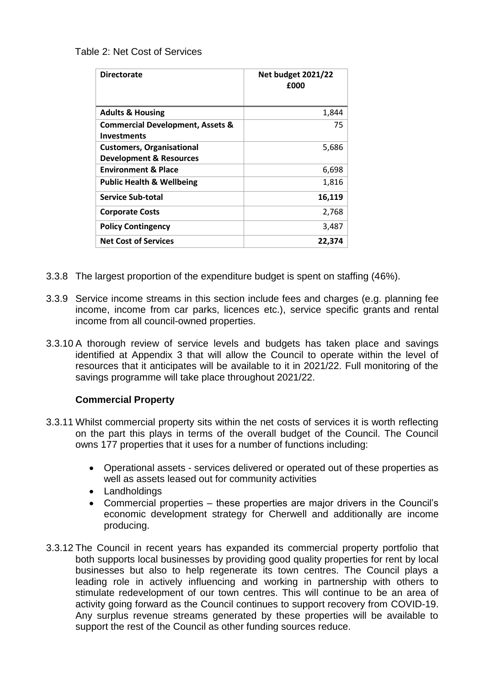Table 2: Net Cost of Services

| <b>Directorate</b>                                                     | <b>Net budget 2021/22</b><br>£000 |
|------------------------------------------------------------------------|-----------------------------------|
| <b>Adults &amp; Housing</b>                                            | 1,844                             |
| <b>Commercial Development, Assets &amp;</b><br><b>Investments</b>      | 75                                |
| <b>Customers, Organisational</b><br><b>Development &amp; Resources</b> | 5,686                             |
| <b>Environment &amp; Place</b>                                         | 6,698                             |
| <b>Public Health &amp; Wellbeing</b>                                   | 1,816                             |
| <b>Service Sub-total</b>                                               | 16,119                            |
| <b>Corporate Costs</b>                                                 | 2,768                             |
| <b>Policy Contingency</b>                                              | 3,487                             |
| <b>Net Cost of Services</b>                                            | 22,374                            |

- 3.3.8 The largest proportion of the expenditure budget is spent on staffing (46%).
- 3.3.9 Service income streams in this section include fees and charges (e.g. planning fee income, income from car parks, licences etc.), service specific grants and rental income from all council-owned properties.
- 3.3.10 A thorough review of service levels and budgets has taken place and savings identified at Appendix 3 that will allow the Council to operate within the level of resources that it anticipates will be available to it in 2021/22. Full monitoring of the savings programme will take place throughout 2021/22.

### **Commercial Property**

- 3.3.11 Whilst commercial property sits within the net costs of services it is worth reflecting on the part this plays in terms of the overall budget of the Council. The Council owns 177 properties that it uses for a number of functions including:
	- Operational assets services delivered or operated out of these properties as well as assets leased out for community activities
	- Landholdings
	- Commercial properties these properties are major drivers in the Council's economic development strategy for Cherwell and additionally are income producing.
- 3.3.12 The Council in recent years has expanded its commercial property portfolio that both supports local businesses by providing good quality properties for rent by local businesses but also to help regenerate its town centres. The Council plays a leading role in actively influencing and working in partnership with others to stimulate redevelopment of our town centres. This will continue to be an area of activity going forward as the Council continues to support recovery from COVID-19. Any surplus revenue streams generated by these properties will be available to support the rest of the Council as other funding sources reduce.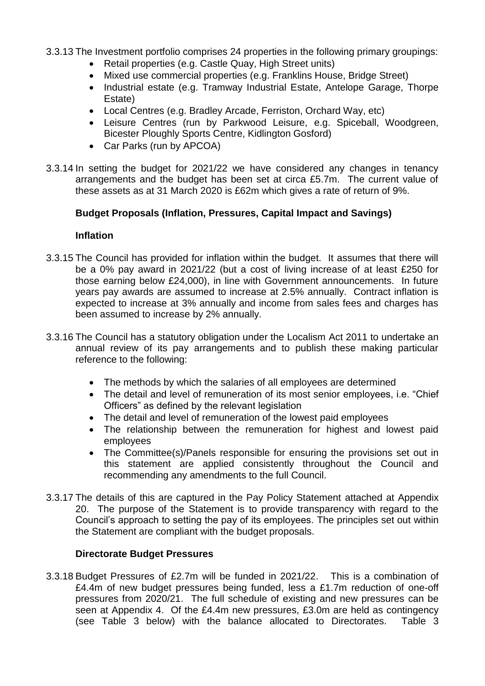3.3.13 The Investment portfolio comprises 24 properties in the following primary groupings:

- Retail properties (e.g. Castle Quay, High Street units)
- Mixed use commercial properties (e.g. Franklins House, Bridge Street)
- Industrial estate (e.g. Tramway Industrial Estate, Antelope Garage, Thorpe Estate)
- Local Centres (e.g. Bradley Arcade, Ferriston, Orchard Way, etc)
- Leisure Centres (run by Parkwood Leisure, e.g. Spiceball, Woodgreen, Bicester Ploughly Sports Centre, Kidlington Gosford)
- Car Parks (run by APCOA)
- 3.3.14 In setting the budget for 2021/22 we have considered any changes in tenancy arrangements and the budget has been set at circa £5.7m. The current value of these assets as at 31 March 2020 is £62m which gives a rate of return of 9%.

### **Budget Proposals (Inflation, Pressures, Capital Impact and Savings)**

#### **Inflation**

- 3.3.15 The Council has provided for inflation within the budget. It assumes that there will be a 0% pay award in 2021/22 (but a cost of living increase of at least £250 for those earning below £24,000), in line with Government announcements. In future years pay awards are assumed to increase at 2.5% annually. Contract inflation is expected to increase at 3% annually and income from sales fees and charges has been assumed to increase by 2% annually.
- 3.3.16 The Council has a statutory obligation under the Localism Act 2011 to undertake an annual review of its pay arrangements and to publish these making particular reference to the following:
	- The methods by which the salaries of all employees are determined
	- The detail and level of remuneration of its most senior employees, i.e. "Chief Officers" as defined by the relevant legislation
	- The detail and level of remuneration of the lowest paid employees
	- The relationship between the remuneration for highest and lowest paid employees
	- The Committee(s)/Panels responsible for ensuring the provisions set out in this statement are applied consistently throughout the Council and recommending any amendments to the full Council.
- 3.3.17 The details of this are captured in the Pay Policy Statement attached at Appendix 20. The purpose of the Statement is to provide transparency with regard to the Council's approach to setting the pay of its employees. The principles set out within the Statement are compliant with the budget proposals.

### **Directorate Budget Pressures**

3.3.18 Budget Pressures of £2.7m will be funded in 2021/22. This is a combination of £4.4m of new budget pressures being funded, less a £1.7m reduction of one-off pressures from 2020/21. The full schedule of existing and new pressures can be seen at Appendix 4. Of the £4.4m new pressures, £3.0m are held as contingency (see Table 3 below) with the balance allocated to Directorates. Table 3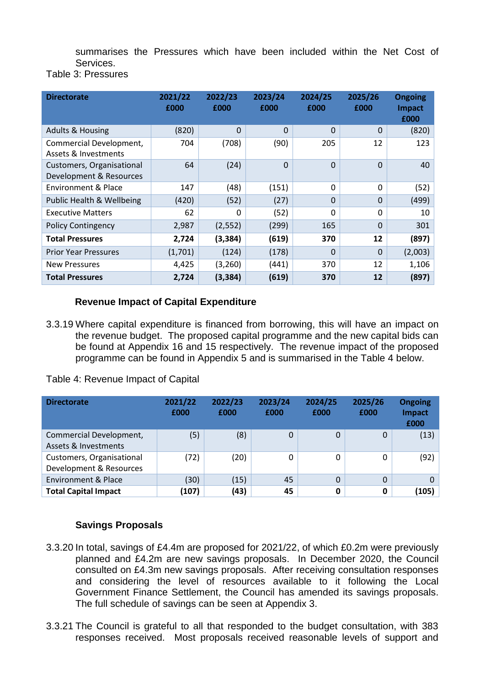summarises the Pressures which have been included within the Net Cost of Services.

Table 3: Pressures

| <b>Directorate</b>                                         | 2021/22<br>£000 | 2022/23<br>£000 | 2023/24<br>£000 | 2024/25<br>£000 | 2025/26<br>£000 | <b>Ongoing</b><br><b>Impact</b><br>£000 |
|------------------------------------------------------------|-----------------|-----------------|-----------------|-----------------|-----------------|-----------------------------------------|
| <b>Adults &amp; Housing</b>                                | (820)           | $\Omega$        | $\Omega$        | $\Omega$        | $\Omega$        | (820)                                   |
| Commercial Development,<br><b>Assets &amp; Investments</b> | 704             | (708)           | (90)            | 205             | 12              | 123                                     |
| Customers, Organisational<br>Development & Resources       | 64              | (24)            | $\Omega$        | $\Omega$        | $\Omega$        | 40                                      |
| Environment & Place                                        | 147             | (48)            | (151)           | 0               | $\mathbf{0}$    | (52)                                    |
| Public Health & Wellbeing                                  | (420)           | (52)            | (27)            | $\Omega$        | $\Omega$        | (499)                                   |
| <b>Executive Matters</b>                                   | 62              | 0               | (52)            | 0               | 0               | 10                                      |
| <b>Policy Contingency</b>                                  | 2,987           | (2, 552)        | (299)           | 165             | $\Omega$        | 301                                     |
| <b>Total Pressures</b>                                     | 2,724           | (3, 384)        | (619)           | 370             | 12              | (897)                                   |
| <b>Prior Year Pressures</b>                                | (1,701)         | (124)           | (178)           | $\Omega$        | $\Omega$        | (2,003)                                 |
| <b>New Pressures</b>                                       | 4,425           | (3,260)         | (441)           | 370             | 12              | 1,106                                   |
| <b>Total Pressures</b>                                     | 2,724           | (3, 384)        | (619)           | 370             | 12              | (897)                                   |

## **Revenue Impact of Capital Expenditure**

3.3.19 Where capital expenditure is financed from borrowing, this will have an impact on the revenue budget. The proposed capital programme and the new capital bids can be found at Appendix 16 and 15 respectively. The revenue impact of the proposed programme can be found in Appendix 5 and is summarised in the Table 4 below.

Table 4: Revenue Impact of Capital

| <b>Directorate</b>                                   | 2021/22<br>£000 | 2022/23<br>£000 | 2023/24<br>£000 | 2024/25<br>£000 | 2025/26<br>£000 | <b>Ongoing</b><br><b>Impact</b><br>£000 |
|------------------------------------------------------|-----------------|-----------------|-----------------|-----------------|-----------------|-----------------------------------------|
| Commercial Development,<br>Assets & Investments      | (5)             | (8)             | 0               | 0               | 0               | (13)                                    |
| Customers, Organisational<br>Development & Resources | (72)            | (20)            | 0               | 0               | 0               | (92)                                    |
| <b>Environment &amp; Place</b>                       | (30)            | (15)            | 45              | 0               | $\Omega$        | 0                                       |
| <b>Total Capital Impact</b>                          | (107)           | (43)            | 45              | 0               | 0               | (105)                                   |

## **Savings Proposals**

- 3.3.20 In total, savings of £4.4m are proposed for 2021/22, of which £0.2m were previously planned and £4.2m are new savings proposals. In December 2020, the Council consulted on £4.3m new savings proposals. After receiving consultation responses and considering the level of resources available to it following the Local Government Finance Settlement, the Council has amended its savings proposals. The full schedule of savings can be seen at Appendix 3.
- 3.3.21 The Council is grateful to all that responded to the budget consultation, with 383 responses received. Most proposals received reasonable levels of support and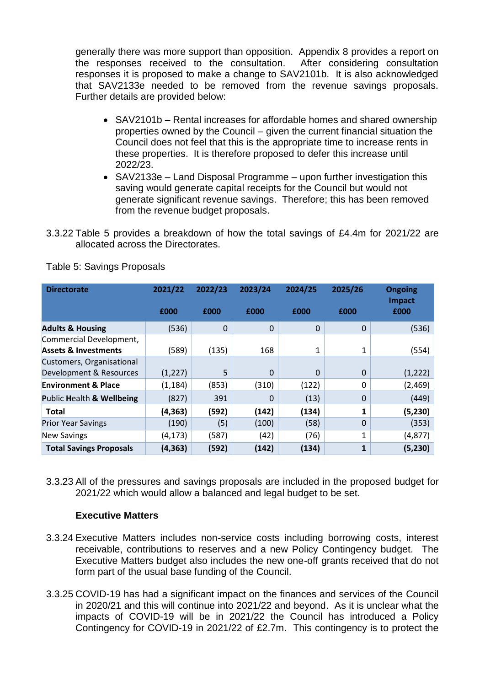generally there was more support than opposition. Appendix 8 provides a report on the responses received to the consultation. After considering consultation responses it is proposed to make a change to SAV2101b. It is also acknowledged that SAV2133e needed to be removed from the revenue savings proposals. Further details are provided below:

- SAV2101b Rental increases for affordable homes and shared ownership properties owned by the Council – given the current financial situation the Council does not feel that this is the appropriate time to increase rents in these properties. It is therefore proposed to defer this increase until 2022/23.
- SAV2133e Land Disposal Programme upon further investigation this saving would generate capital receipts for the Council but would not generate significant revenue savings. Therefore; this has been removed from the revenue budget proposals.
- 3.3.22 Table 5 provides a breakdown of how the total savings of £4.4m for 2021/22 are allocated across the Directorates.

| <b>Directorate</b>              | 2021/22  | 2022/23     | 2023/24     | 2024/25 | 2025/26  | <b>Ongoing</b><br><b>Impact</b> |  |
|---------------------------------|----------|-------------|-------------|---------|----------|---------------------------------|--|
|                                 | £000     | £000        | £000        | £000    | £000     | £000                            |  |
| <b>Adults &amp; Housing</b>     | (536)    | $\mathbf 0$ | $\mathbf 0$ | 0       | $\Omega$ | (536)                           |  |
| Commercial Development,         |          |             |             |         |          |                                 |  |
| <b>Assets &amp; Investments</b> | (589)    | (135)       | 168         | 1       | 1        | (554)                           |  |
| Customers, Organisational       |          |             |             |         |          |                                 |  |
| Development & Resources         | (1, 227) | 5           | $\Omega$    | 0       | $\Omega$ | (1, 222)                        |  |
| <b>Environment &amp; Place</b>  | (1, 184) | (853)       | (310)       | (122)   | 0        | (2,469)                         |  |
| Public Health & Wellbeing       | (827)    | 391         | $\Omega$    | (13)    | 0        | (449)                           |  |
| <b>Total</b>                    | (4, 363) | (592)       | (142)       | (134)   | 1        | (5, 230)                        |  |
| <b>Prior Year Savings</b>       | (190)    | (5)         | (100)       | (58)    | $\Omega$ | (353)                           |  |
| <b>New Savings</b>              | (4, 173) | (587)       | (42)        | (76)    | 1        | (4, 877)                        |  |
| <b>Total Savings Proposals</b>  | (4, 363) | (592)       | (142)       | (134)   | 1        | (5, 230)                        |  |

Table 5: Savings Proposals

3.3.23 All of the pressures and savings proposals are included in the proposed budget for 2021/22 which would allow a balanced and legal budget to be set.

### **Executive Matters**

- 3.3.24 Executive Matters includes non-service costs including borrowing costs, interest receivable, contributions to reserves and a new Policy Contingency budget. The Executive Matters budget also includes the new one-off grants received that do not form part of the usual base funding of the Council.
- 3.3.25 COVID-19 has had a significant impact on the finances and services of the Council in 2020/21 and this will continue into 2021/22 and beyond. As it is unclear what the impacts of COVID-19 will be in 2021/22 the Council has introduced a Policy Contingency for COVID-19 in 2021/22 of £2.7m. This contingency is to protect the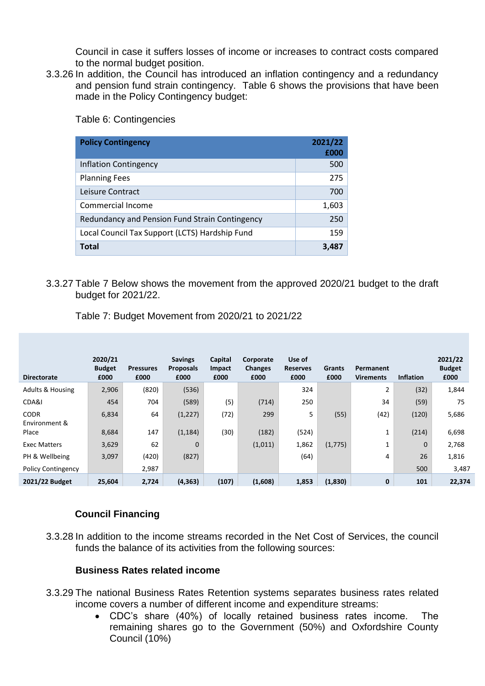Council in case it suffers losses of income or increases to contract costs compared to the normal budget position.

3.3.26 In addition, the Council has introduced an inflation contingency and a redundancy and pension fund strain contingency. Table 6 shows the provisions that have been made in the Policy Contingency budget:

Table 6: Contingencies

| <b>Policy Contingency</b>                      | 2021/22<br>£000 |
|------------------------------------------------|-----------------|
| <b>Inflation Contingency</b>                   | 500             |
| <b>Planning Fees</b>                           | 275             |
| Leisure Contract                               | 700             |
| Commercial Income                              | 1,603           |
| Redundancy and Pension Fund Strain Contingency | 250             |
| Local Council Tax Support (LCTS) Hardship Fund | 159             |
| <b>Total</b>                                   | 3,487           |

### 3.3.27 Table 7 Below shows the movement from the approved 2020/21 budget to the draft budget for 2021/22.

| <b>Directorate</b>           | 2020/21<br><b>Budget</b><br>£000 | <b>Pressures</b><br>£000 | <b>Savings</b><br><b>Proposals</b><br>£000 | Capital<br>Impact<br>£000 | Corporate<br><b>Changes</b><br>£000 | Use of<br><b>Reserves</b><br>£000 | Grants<br>£000 | Permanent<br><b>Virements</b> | <b>Inflation</b> | 2021/22<br><b>Budget</b><br>£000 |
|------------------------------|----------------------------------|--------------------------|--------------------------------------------|---------------------------|-------------------------------------|-----------------------------------|----------------|-------------------------------|------------------|----------------------------------|
| <b>Adults &amp; Housing</b>  | 2,906                            | (820)                    | (536)                                      |                           |                                     | 324                               |                | 2                             | (32)             | 1,844                            |
| CDA&I                        | 454                              | 704                      | (589)                                      | (5)                       | (714)                               | 250                               |                | 34                            | (59)             | 75                               |
| <b>CODR</b><br>Environment & | 6,834                            | 64                       | (1, 227)                                   | (72)                      | 299                                 | 5                                 | (55)           | (42)                          | (120)            | 5,686                            |
| Place                        | 8,684                            | 147                      | (1, 184)                                   | (30)                      | (182)                               | (524)                             |                | Ŧ.                            | (214)            | 6,698                            |
| <b>Exec Matters</b>          | 3,629                            | 62                       | $\mathbf{0}$                               |                           | (1,011)                             | 1,862                             | (1, 775)       | 1                             | 0                | 2,768                            |
| PH & Wellbeing               | 3,097                            | (420)                    | (827)                                      |                           |                                     | (64)                              |                | 4                             | 26               | 1,816                            |
| <b>Policy Contingency</b>    |                                  | 2,987                    |                                            |                           |                                     |                                   |                |                               | 500              | 3,487                            |
| 2021/22 Budget               | 25,604                           | 2,724                    | (4, 363)                                   | (107)                     | (1,608)                             | 1,853                             | (1,830)        | 0                             | 101              | 22,374                           |

Table 7: Budget Movement from 2020/21 to 2021/22

## **Council Financing**

3.3.28 In addition to the income streams recorded in the Net Cost of Services, the council funds the balance of its activities from the following sources:

### **Business Rates related income**

- 3.3.29 The national Business Rates Retention systems separates business rates related income covers a number of different income and expenditure streams:
	- CDC's share (40%) of locally retained business rates income. The remaining shares go to the Government (50%) and Oxfordshire County Council (10%)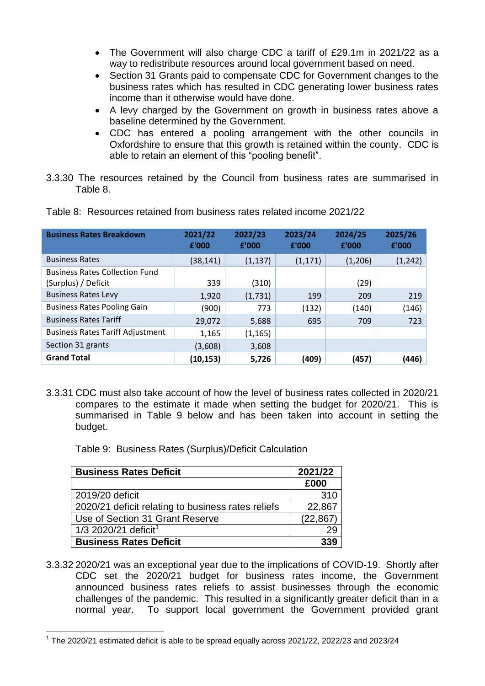- The Government will also charge CDC a tariff of £29.1m in 2021/22 as a way to redistribute resources around local government based on need.
- Section 31 Grants paid to compensate CDC for Government changes to the business rates which has resulted in CDC generating lower business rates income than it otherwise would have done.
- A levy charged by the Government on growth in business rates above a baseline determined by the Government.
- CDC has entered a pooling arrangement with the other councils in Oxfordshire to ensure that this growth is retained within the county. CDC is able to retain an element of this "pooling benefit".
- 3.3.30 The resources retained by the Council from business rates are summarised in Table 8.

| <b>Business Rates Breakdown</b>                              | 2021/22<br>£'000 | 2022/23<br>£'000 | 2023/24<br>£'000 | 2024/25<br>£'000 | 2025/26<br>£'000 |
|--------------------------------------------------------------|------------------|------------------|------------------|------------------|------------------|
| <b>Business Rates</b>                                        | (38, 141)        | (1, 137)         | (1, 171)         | (1,206)          | (1, 242)         |
| <b>Business Rates Collection Fund</b><br>(Surplus) / Deficit | 339              | (310)            |                  | (29)             |                  |
| <b>Business Rates Levy</b>                                   | 1,920            | (1,731)          | 199              | 209              | 219              |
| <b>Business Rates Pooling Gain</b>                           | (900)            | 773              | (132)            | (140)            | (146)            |
| <b>Business Rates Tariff</b>                                 | 29,072           | 5,688            | 695              | 709              | 723              |
| <b>Business Rates Tariff Adjustment</b>                      | 1,165            | (1, 165)         |                  |                  |                  |
| Section 31 grants                                            | (3,608)          | 3,608            |                  |                  |                  |
| <b>Grand Total</b>                                           | (10, 153)        | 5,726            | (409)            | (457)            | (446)            |

Table 8: Resources retained from business rates related income 2021/22

3.3.31 CDC must also take account of how the level of business rates collected in 2020/21 compares to the estimate it made when setting the budget for 2020/21. This is summarised in Table 9 below and has been taken into account in setting the budget.

Table 9: Business Rates (Surplus)/Deficit Calculation

| <b>Business Rates Deficit</b>                      | 2021/22   |
|----------------------------------------------------|-----------|
|                                                    | £000      |
| 2019/20 deficit                                    | 310       |
| 2020/21 deficit relating to business rates reliefs | 22,867    |
| Use of Section 31 Grant Reserve                    | (22, 867) |
| 1/3 2020/21 deficit <sup>1</sup>                   |           |
| <b>Business Rates Deficit</b>                      | 339       |

3.3.32 2020/21 was an exceptional year due to the implications of COVID-19. Shortly after CDC set the 2020/21 budget for business rates income, the Government announced business rates reliefs to assist businesses through the economic challenges of the pandemic. This resulted in a significantly greater deficit than in a normal year. To support local government the Government provided grant

<sup>1</sup>  $1$  The 2020/21 estimated deficit is able to be spread equally across 2021/22, 2022/23 and 2023/24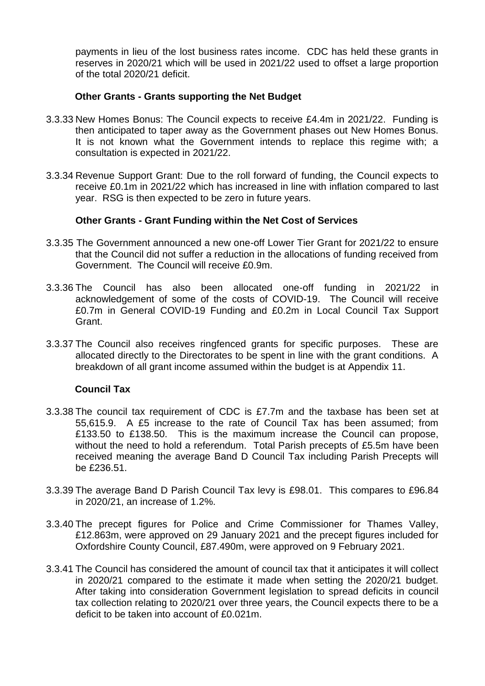payments in lieu of the lost business rates income. CDC has held these grants in reserves in 2020/21 which will be used in 2021/22 used to offset a large proportion of the total 2020/21 deficit.

#### **Other Grants - Grants supporting the Net Budget**

- 3.3.33 New Homes Bonus: The Council expects to receive £4.4m in 2021/22. Funding is then anticipated to taper away as the Government phases out New Homes Bonus. It is not known what the Government intends to replace this regime with; a consultation is expected in 2021/22.
- 3.3.34 Revenue Support Grant: Due to the roll forward of funding, the Council expects to receive £0.1m in 2021/22 which has increased in line with inflation compared to last year. RSG is then expected to be zero in future years.

#### **Other Grants - Grant Funding within the Net Cost of Services**

- 3.3.35 The Government announced a new one-off Lower Tier Grant for 2021/22 to ensure that the Council did not suffer a reduction in the allocations of funding received from Government. The Council will receive £0.9m.
- 3.3.36 The Council has also been allocated one-off funding in 2021/22 in acknowledgement of some of the costs of COVID-19. The Council will receive £0.7m in General COVID-19 Funding and £0.2m in Local Council Tax Support Grant.
- 3.3.37 The Council also receives ringfenced grants for specific purposes. These are allocated directly to the Directorates to be spent in line with the grant conditions. A breakdown of all grant income assumed within the budget is at Appendix 11.

#### **Council Tax**

- 3.3.38 The council tax requirement of CDC is £7.7m and the taxbase has been set at 55,615.9. A £5 increase to the rate of Council Tax has been assumed; from £133.50 to £138.50. This is the maximum increase the Council can propose, without the need to hold a referendum. Total Parish precepts of £5.5m have been received meaning the average Band D Council Tax including Parish Precepts will be £236.51.
- 3.3.39 The average Band D Parish Council Tax levy is £98.01. This compares to £96.84 in 2020/21, an increase of 1.2%.
- 3.3.40 The precept figures for Police and Crime Commissioner for Thames Valley, £12.863m, were approved on 29 January 2021 and the precept figures included for Oxfordshire County Council, £87.490m, were approved on 9 February 2021.
- 3.3.41 The Council has considered the amount of council tax that it anticipates it will collect in 2020/21 compared to the estimate it made when setting the 2020/21 budget. After taking into consideration Government legislation to spread deficits in council tax collection relating to 2020/21 over three years, the Council expects there to be a deficit to be taken into account of £0.021m.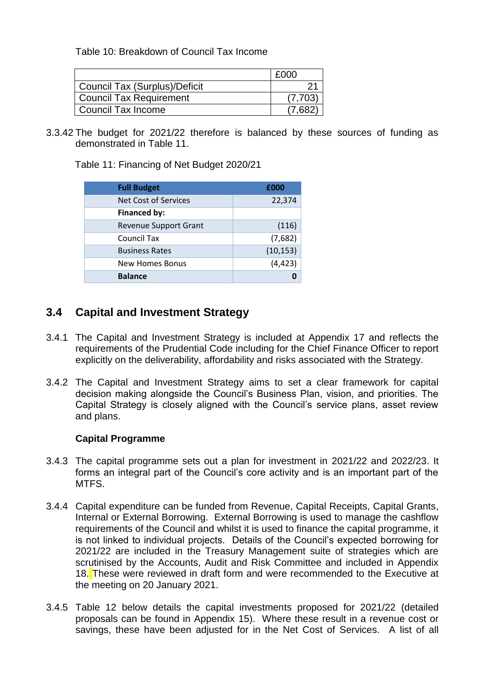Table 10: Breakdown of Council Tax Income

|                                | £000   |
|--------------------------------|--------|
| Council Tax (Surplus)/Deficit  |        |
| <b>Council Tax Requirement</b> | (7.703 |
| Council Tax Income             |        |

3.3.42 The budget for 2021/22 therefore is balanced by these sources of funding as demonstrated in Table 11.

Table 11: Financing of Net Budget 2020/21

| <b>Full Budget</b>           | £000      |
|------------------------------|-----------|
| <b>Net Cost of Services</b>  | 22,374    |
| <b>Financed by:</b>          |           |
| <b>Revenue Support Grant</b> | (116)     |
| <b>Council Tax</b>           | (7,682)   |
| <b>Business Rates</b>        | (10, 153) |
| <b>New Homes Bonus</b>       | (4, 423)  |
| <b>Balance</b>               |           |

## **3.4 Capital and Investment Strategy**

- 3.4.1 The Capital and Investment Strategy is included at Appendix 17 and reflects the requirements of the Prudential Code including for the Chief Finance Officer to report explicitly on the deliverability, affordability and risks associated with the Strategy.
- 3.4.2 The Capital and Investment Strategy aims to set a clear framework for capital decision making alongside the Council's Business Plan, vision, and priorities. The Capital Strategy is closely aligned with the Council's service plans, asset review and plans.

### **Capital Programme**

- 3.4.3 The capital programme sets out a plan for investment in 2021/22 and 2022/23. It forms an integral part of the Council's core activity and is an important part of the MTFS.
- 3.4.4 Capital expenditure can be funded from Revenue, Capital Receipts, Capital Grants, Internal or External Borrowing. External Borrowing is used to manage the cashflow requirements of the Council and whilst it is used to finance the capital programme, it is not linked to individual projects. Details of the Council's expected borrowing for 2021/22 are included in the Treasury Management suite of strategies which are scrutinised by the Accounts, Audit and Risk Committee and included in Appendix 18. These were reviewed in draft form and were recommended to the Executive at the meeting on 20 January 2021.
- 3.4.5 Table 12 below details the capital investments proposed for 2021/22 (detailed proposals can be found in Appendix 15). Where these result in a revenue cost or savings, these have been adjusted for in the Net Cost of Services. A list of all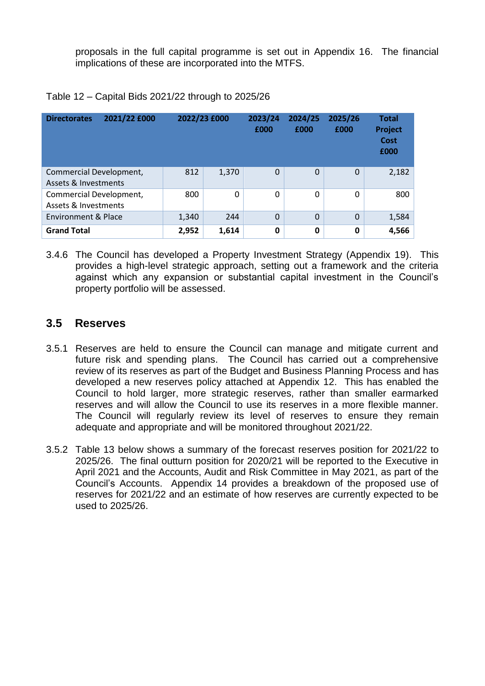proposals in the full capital programme is set out in Appendix 16. The financial implications of these are incorporated into the MTFS.

| <b>Directorates</b>                             | 2021/22 £000 | 2022/23 £000 |       | 2023/24<br>£000 | 2024/25<br>£000 | 2025/26<br>£000 | <b>Total</b><br>Project<br><b>Cost</b><br>£000 |
|-------------------------------------------------|--------------|--------------|-------|-----------------|-----------------|-----------------|------------------------------------------------|
| Commercial Development,<br>Assets & Investments |              | 812          | 1,370 | 0               | 0               | 0               | 2,182                                          |
| Commercial Development,<br>Assets & Investments |              | 800          | 0     | 0               | 0               | 0               | 800                                            |
| <b>Environment &amp; Place</b>                  |              | 1,340        | 244   | $\overline{0}$  | $\mathbf 0$     | $\Omega$        | 1,584                                          |
| <b>Grand Total</b>                              |              | 2,952        | 1,614 | 0               | 0               | 0               | 4,566                                          |

|  | Table 12 - Capital Bids 2021/22 through to 2025/26 |  |
|--|----------------------------------------------------|--|
|  |                                                    |  |

3.4.6 The Council has developed a Property Investment Strategy (Appendix 19). This provides a high-level strategic approach, setting out a framework and the criteria against which any expansion or substantial capital investment in the Council's property portfolio will be assessed.

## **3.5 Reserves**

- 3.5.1 Reserves are held to ensure the Council can manage and mitigate current and future risk and spending plans. The Council has carried out a comprehensive review of its reserves as part of the Budget and Business Planning Process and has developed a new reserves policy attached at Appendix 12. This has enabled the Council to hold larger, more strategic reserves, rather than smaller earmarked reserves and will allow the Council to use its reserves in a more flexible manner. The Council will regularly review its level of reserves to ensure they remain adequate and appropriate and will be monitored throughout 2021/22.
- 3.5.2 Table 13 below shows a summary of the forecast reserves position for 2021/22 to 2025/26. The final outturn position for 2020/21 will be reported to the Executive in April 2021 and the Accounts, Audit and Risk Committee in May 2021, as part of the Council's Accounts. Appendix 14 provides a breakdown of the proposed use of reserves for 2021/22 and an estimate of how reserves are currently expected to be used to 2025/26.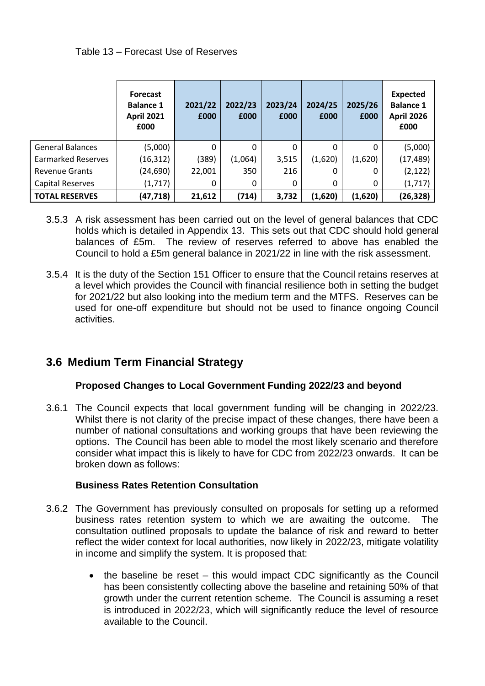### Table 13 – Forecast Use of Reserves

|                           | <b>Forecast</b><br><b>Balance 1</b><br><b>April 2021</b><br>£000 | 2021/22<br>£000 | 2022/23<br>£000 | 2023/24<br>£000 | 2024/25<br>£000 | 2025/26<br>£000 | <b>Expected</b><br><b>Balance 1</b><br><b>April 2026</b><br>£000 |
|---------------------------|------------------------------------------------------------------|-----------------|-----------------|-----------------|-----------------|-----------------|------------------------------------------------------------------|
| <b>General Balances</b>   | (5,000)                                                          | 0               | 0               | 0               | 0               | 0               | (5,000)                                                          |
| <b>Earmarked Reserves</b> | (16,312)                                                         | (389)           | (1,064)         | 3,515           | (1,620)         | (1,620)         | (17, 489)                                                        |
| <b>Revenue Grants</b>     | (24,690)                                                         | 22,001          | 350             | 216             | 0               | 0               | (2, 122)                                                         |
| <b>Capital Reserves</b>   | (1,717)                                                          | 0               | 0               | 0               | 0               | 0               | (1, 717)                                                         |
| <b>TOTAL RESERVES</b>     | (47, 718)                                                        | 21,612          | (714)           | 3,732           | (1,620)         | (1,620)         | (26, 328)                                                        |

- 3.5.3 A risk assessment has been carried out on the level of general balances that CDC holds which is detailed in Appendix 13. This sets out that CDC should hold general balances of £5m. The review of reserves referred to above has enabled the Council to hold a £5m general balance in 2021/22 in line with the risk assessment.
- 3.5.4 It is the duty of the Section 151 Officer to ensure that the Council retains reserves at a level which provides the Council with financial resilience both in setting the budget for 2021/22 but also looking into the medium term and the MTFS. Reserves can be used for one-off expenditure but should not be used to finance ongoing Council activities.

# **3.6 Medium Term Financial Strategy**

## **Proposed Changes to Local Government Funding 2022/23 and beyond**

3.6.1 The Council expects that local government funding will be changing in 2022/23. Whilst there is not clarity of the precise impact of these changes, there have been a number of national consultations and working groups that have been reviewing the options. The Council has been able to model the most likely scenario and therefore consider what impact this is likely to have for CDC from 2022/23 onwards. It can be broken down as follows:

## **Business Rates Retention Consultation**

- 3.6.2 The Government has previously consulted on proposals for setting up a reformed business rates retention system to which we are awaiting the outcome. The consultation outlined proposals to update the balance of risk and reward to better reflect the wider context for local authorities, now likely in 2022/23, mitigate volatility in income and simplify the system. It is proposed that:
	- the baseline be reset this would impact CDC significantly as the Council has been consistently collecting above the baseline and retaining 50% of that growth under the current retention scheme. The Council is assuming a reset is introduced in 2022/23, which will significantly reduce the level of resource available to the Council.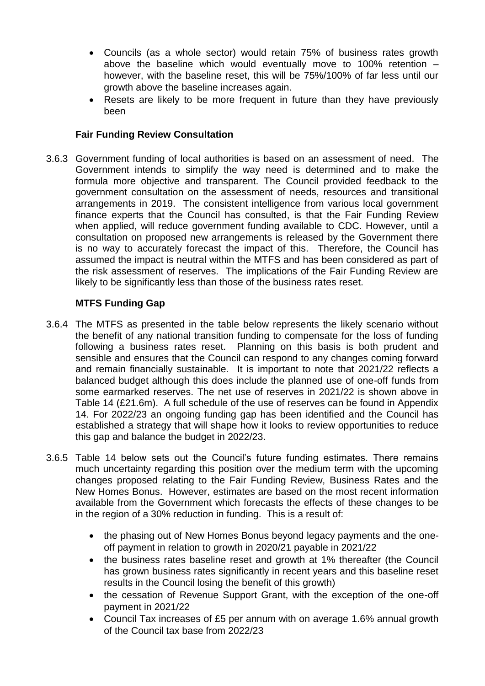- Councils (as a whole sector) would retain 75% of business rates growth above the baseline which would eventually move to 100% retention – however, with the baseline reset, this will be 75%/100% of far less until our growth above the baseline increases again.
- Resets are likely to be more frequent in future than they have previously been

## **Fair Funding Review Consultation**

3.6.3 Government funding of local authorities is based on an assessment of need. The Government intends to simplify the way need is determined and to make the formula more objective and transparent. The Council provided feedback to the government consultation on the assessment of needs, resources and transitional arrangements in 2019. The consistent intelligence from various local government finance experts that the Council has consulted, is that the Fair Funding Review when applied, will reduce government funding available to CDC. However, until a consultation on proposed new arrangements is released by the Government there is no way to accurately forecast the impact of this. Therefore, the Council has assumed the impact is neutral within the MTFS and has been considered as part of the risk assessment of reserves. The implications of the Fair Funding Review are likely to be significantly less than those of the business rates reset.

## **MTFS Funding Gap**

- 3.6.4 The MTFS as presented in the table below represents the likely scenario without the benefit of any national transition funding to compensate for the loss of funding following a business rates reset. Planning on this basis is both prudent and sensible and ensures that the Council can respond to any changes coming forward and remain financially sustainable. It is important to note that 2021/22 reflects a balanced budget although this does include the planned use of one-off funds from some earmarked reserves. The net use of reserves in 2021/22 is shown above in Table 14 (£21.6m). A full schedule of the use of reserves can be found in Appendix 14. For 2022/23 an ongoing funding gap has been identified and the Council has established a strategy that will shape how it looks to review opportunities to reduce this gap and balance the budget in 2022/23.
- 3.6.5 Table 14 below sets out the Council's future funding estimates. There remains much uncertainty regarding this position over the medium term with the upcoming changes proposed relating to the Fair Funding Review, Business Rates and the New Homes Bonus. However, estimates are based on the most recent information available from the Government which forecasts the effects of these changes to be in the region of a 30% reduction in funding. This is a result of:
	- the phasing out of New Homes Bonus beyond legacy payments and the oneoff payment in relation to growth in 2020/21 payable in 2021/22
	- the business rates baseline reset and growth at 1% thereafter (the Council has grown business rates significantly in recent years and this baseline reset results in the Council losing the benefit of this growth)
	- the cessation of Revenue Support Grant, with the exception of the one-off payment in 2021/22
	- Council Tax increases of £5 per annum with on average 1.6% annual growth of the Council tax base from 2022/23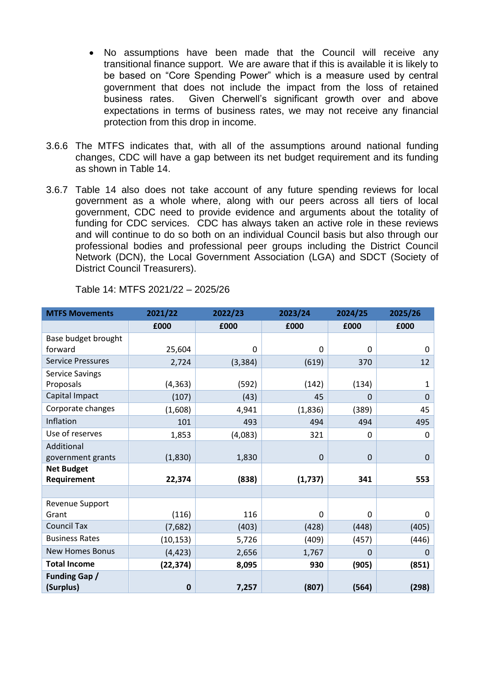- No assumptions have been made that the Council will receive any transitional finance support. We are aware that if this is available it is likely to be based on "Core Spending Power" which is a measure used by central government that does not include the impact from the loss of retained business rates. Given Cherwell's significant growth over and above expectations in terms of business rates, we may not receive any financial protection from this drop in income.
- 3.6.6 The MTFS indicates that, with all of the assumptions around national funding changes, CDC will have a gap between its net budget requirement and its funding as shown in Table 14.
- 3.6.7 Table 14 also does not take account of any future spending reviews for local government as a whole where, along with our peers across all tiers of local government, CDC need to provide evidence and arguments about the totality of funding for CDC services. CDC has always taken an active role in these reviews and will continue to do so both on an individual Council basis but also through our professional bodies and professional peer groups including the District Council Network (DCN), the Local Government Association (LGA) and SDCT (Society of District Council Treasurers).

| <b>MTFS Movements</b>             | 2021/22     | 2022/23  | 2023/24 | 2024/25          | 2025/26      |
|-----------------------------------|-------------|----------|---------|------------------|--------------|
|                                   | £000        | £000     | £000    | £000             | £000         |
| Base budget brought               |             |          |         |                  |              |
| forward                           | 25,604      | 0        | 0       | 0                | 0            |
| <b>Service Pressures</b>          | 2,724       | (3, 384) | (619)   | 370              | 12           |
| <b>Service Savings</b>            |             |          |         |                  |              |
| Proposals                         | (4, 363)    | (592)    | (142)   | (134)            | $\mathbf{1}$ |
| Capital Impact                    | (107)       | (43)     | 45      | 0                | $\mathbf 0$  |
| Corporate changes                 | (1,608)     | 4,941    | (1,836) | (389)            | 45           |
| Inflation                         | 101         | 493      | 494     | 494              | 495          |
| Use of reserves                   | 1,853       | (4,083)  | 321     | 0                | 0            |
| Additional                        |             |          |         |                  |              |
| government grants                 | (1,830)     | 1,830    | 0       | $\mathbf 0$      | $\pmb{0}$    |
| <b>Net Budget</b>                 |             |          |         |                  |              |
| Requirement                       | 22,374      | (838)    | (1,737) | 341              | 553          |
|                                   |             |          |         |                  |              |
| Revenue Support                   |             |          |         |                  |              |
| Grant                             | (116)       | 116      | 0       | $\boldsymbol{0}$ | 0            |
| <b>Council Tax</b>                | (7,682)     | (403)    | (428)   | (448)            | (405)        |
| <b>Business Rates</b>             | (10, 153)   | 5,726    | (409)   | (457)            | (446)        |
| <b>New Homes Bonus</b>            | (4, 423)    | 2,656    | 1,767   | 0                | $\mathbf 0$  |
| <b>Total Income</b>               | (22, 374)   | 8,095    | 930     | (905)            | (851)        |
| <b>Funding Gap /</b><br>(Surplus) | $\mathbf 0$ | 7,257    | (807)   | (564)            | (298)        |

Table 14: MTFS 2021/22 – 2025/26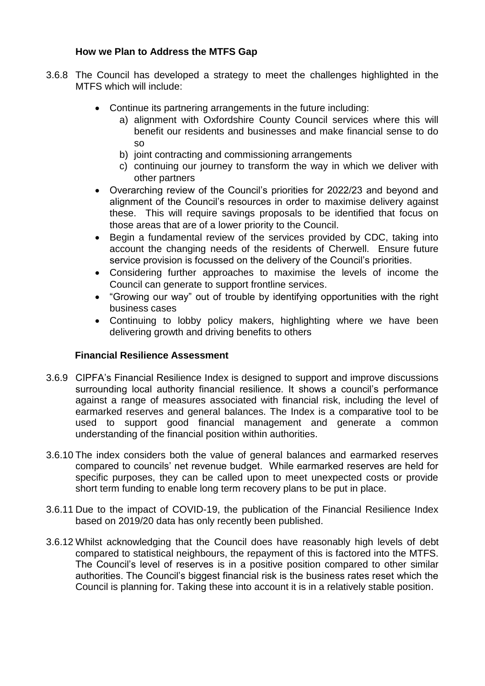## **How we Plan to Address the MTFS Gap**

- 3.6.8 The Council has developed a strategy to meet the challenges highlighted in the MTFS which will include:
	- Continue its partnering arrangements in the future including:
		- a) alignment with Oxfordshire County Council services where this will benefit our residents and businesses and make financial sense to do so
			- b) joint contracting and commissioning arrangements
		- c) continuing our journey to transform the way in which we deliver with other partners
	- Overarching review of the Council's priorities for 2022/23 and beyond and alignment of the Council's resources in order to maximise delivery against these. This will require savings proposals to be identified that focus on those areas that are of a lower priority to the Council.
	- Begin a fundamental review of the services provided by CDC, taking into account the changing needs of the residents of Cherwell. Ensure future service provision is focussed on the delivery of the Council's priorities.
	- Considering further approaches to maximise the levels of income the Council can generate to support frontline services.
	- "Growing our way" out of trouble by identifying opportunities with the right business cases
	- Continuing to lobby policy makers, highlighting where we have been delivering growth and driving benefits to others

## **Financial Resilience Assessment**

- 3.6.9 CIPFA's Financial Resilience Index is designed to support and improve discussions surrounding local authority financial resilience. It shows a council's performance against a range of measures associated with financial risk, including the level of earmarked reserves and general balances. The Index is a comparative tool to be used to support good financial management and generate a common understanding of the financial position within authorities.
- 3.6.10 The index considers both the value of general balances and earmarked reserves compared to councils' net revenue budget. While earmarked reserves are held for specific purposes, they can be called upon to meet unexpected costs or provide short term funding to enable long term recovery plans to be put in place.
- 3.6.11 Due to the impact of COVID-19, the publication of the Financial Resilience Index based on 2019/20 data has only recently been published.
- 3.6.12 Whilst acknowledging that the Council does have reasonably high levels of debt compared to statistical neighbours, the repayment of this is factored into the MTFS. The Council's level of reserves is in a positive position compared to other similar authorities. The Council's biggest financial risk is the business rates reset which the Council is planning for. Taking these into account it is in a relatively stable position.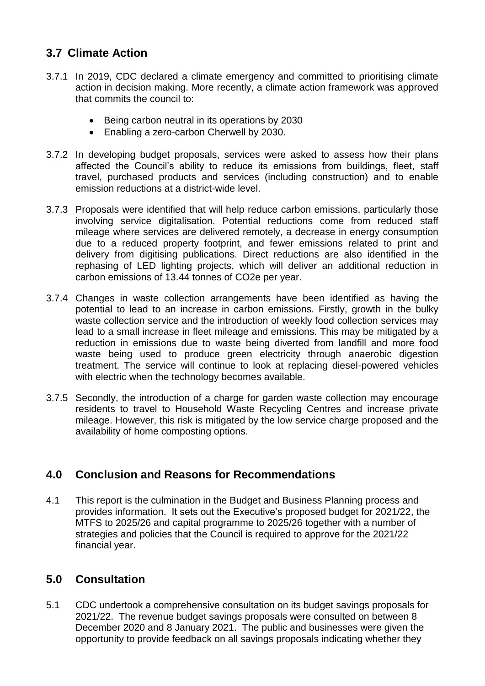# **3.7 Climate Action**

- 3.7.1 In 2019, CDC declared a climate emergency and committed to prioritising climate action in decision making. More recently, a climate action framework was approved that commits the council to:
	- Being carbon neutral in its operations by 2030
	- Enabling a zero-carbon Cherwell by 2030.
- 3.7.2 In developing budget proposals, services were asked to assess how their plans affected the Council's ability to reduce its emissions from buildings, fleet, staff travel, purchased products and services (including construction) and to enable emission reductions at a district-wide level.
- 3.7.3 Proposals were identified that will help reduce carbon emissions, particularly those involving service digitalisation. Potential reductions come from reduced staff mileage where services are delivered remotely, a decrease in energy consumption due to a reduced property footprint, and fewer emissions related to print and delivery from digitising publications. Direct reductions are also identified in the rephasing of LED lighting projects, which will deliver an additional reduction in carbon emissions of 13.44 tonnes of CO2e per year.
- 3.7.4 Changes in waste collection arrangements have been identified as having the potential to lead to an increase in carbon emissions. Firstly, growth in the bulky waste collection service and the introduction of weekly food collection services may lead to a small increase in fleet mileage and emissions. This may be mitigated by a reduction in emissions due to waste being diverted from landfill and more food waste being used to produce green electricity through anaerobic digestion treatment. The service will continue to look at replacing diesel-powered vehicles with electric when the technology becomes available.
- 3.7.5 Secondly, the introduction of a charge for garden waste collection may encourage residents to travel to Household Waste Recycling Centres and increase private mileage. However, this risk is mitigated by the low service charge proposed and the availability of home composting options.

# **4.0 Conclusion and Reasons for Recommendations**

4.1 This report is the culmination in the Budget and Business Planning process and provides information. It sets out the Executive's proposed budget for 2021/22, the MTFS to 2025/26 and capital programme to 2025/26 together with a number of strategies and policies that the Council is required to approve for the 2021/22 financial year.

# **5.0 Consultation**

5.1 CDC undertook a comprehensive consultation on its budget savings proposals for 2021/22. The revenue budget savings proposals were consulted on between 8 December 2020 and 8 January 2021. The public and businesses were given the opportunity to provide feedback on all savings proposals indicating whether they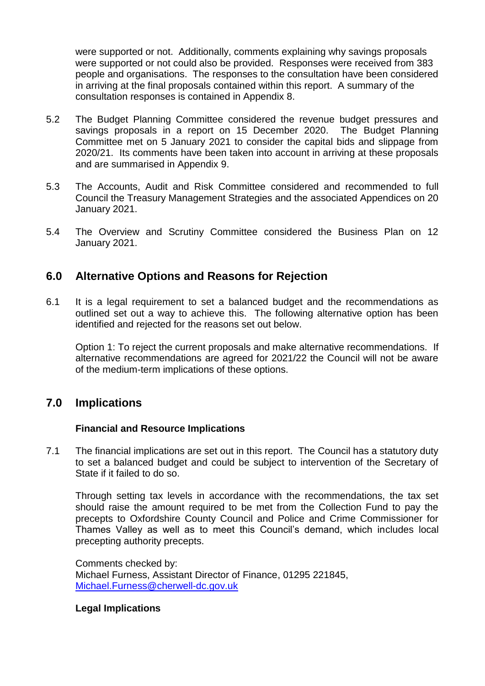were supported or not. Additionally, comments explaining why savings proposals were supported or not could also be provided. Responses were received from 383 people and organisations. The responses to the consultation have been considered in arriving at the final proposals contained within this report. A summary of the consultation responses is contained in Appendix 8.

- 5.2 The Budget Planning Committee considered the revenue budget pressures and savings proposals in a report on 15 December 2020. The Budget Planning Committee met on 5 January 2021 to consider the capital bids and slippage from 2020/21. Its comments have been taken into account in arriving at these proposals and are summarised in Appendix 9.
- 5.3 The Accounts, Audit and Risk Committee considered and recommended to full Council the Treasury Management Strategies and the associated Appendices on 20 January 2021.
- 5.4 The Overview and Scrutiny Committee considered the Business Plan on 12 January 2021.

## **6.0 Alternative Options and Reasons for Rejection**

6.1 It is a legal requirement to set a balanced budget and the recommendations as outlined set out a way to achieve this. The following alternative option has been identified and rejected for the reasons set out below.

Option 1: To reject the current proposals and make alternative recommendations. If alternative recommendations are agreed for 2021/22 the Council will not be aware of the medium-term implications of these options.

## **7.0 Implications**

### **Financial and Resource Implications**

7.1 The financial implications are set out in this report. The Council has a statutory duty to set a balanced budget and could be subject to intervention of the Secretary of State if it failed to do so.

Through setting tax levels in accordance with the recommendations, the tax set should raise the amount required to be met from the Collection Fund to pay the precepts to Oxfordshire County Council and Police and Crime Commissioner for Thames Valley as well as to meet this Council's demand, which includes local precepting authority precepts.

Comments checked by: Michael Furness, Assistant Director of Finance, 01295 221845, [Michael.Furness@cherwell-dc.gov.uk](mailto:Michael.Furness@cherwell-dc.gov.uk)

#### **Legal Implications**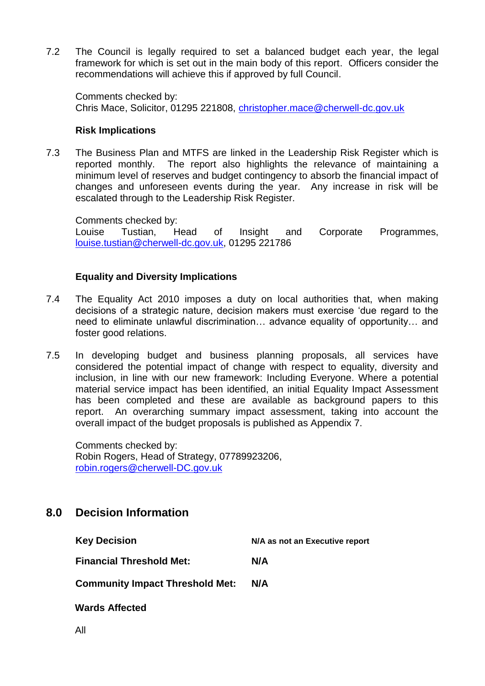7.2 The Council is legally required to set a balanced budget each year, the legal framework for which is set out in the main body of this report. Officers consider the recommendations will achieve this if approved by full Council.

Comments checked by: Chris Mace, Solicitor, 01295 221808, [christopher.mace@cherwell-dc.gov.uk](mailto:christopher.mace@cherwell-dc.gov.uk)

#### **Risk Implications**

7.3 The Business Plan and MTFS are linked in the Leadership Risk Register which is reported monthly. The report also highlights the relevance of maintaining a minimum level of reserves and budget contingency to absorb the financial impact of changes and unforeseen events during the year. Any increase in risk will be escalated through to the Leadership Risk Register.

Comments checked by:

Louise Tustian, Head of Insight and Corporate Programmes, [louise.tustian@cherwell-dc.gov.uk,](mailto:louise.tustian@cherwell-dc.gov.uk) 01295 221786

### **Equality and Diversity Implications**

- 7.4 The Equality Act 2010 imposes a duty on local authorities that, when making decisions of a strategic nature, decision makers must exercise 'due regard to the need to eliminate unlawful discrimination… advance equality of opportunity… and foster good relations.
- 7.5 In developing budget and business planning proposals, all services have considered the potential impact of change with respect to equality, diversity and inclusion, in line with our new framework: Including Everyone. Where a potential material service impact has been identified, an initial Equality Impact Assessment has been completed and these are available as background papers to this report. An overarching summary impact assessment, taking into account the overall impact of the budget proposals is published as Appendix 7.

Comments checked by: Robin Rogers, Head of Strategy, 07789923206, [robin.rogers@cherwell-DC.gov.uk](mailto:robin.rogers@cherwell-DC.gov.uk)

## **8.0 Decision Information**

| <b>Key Decision</b>                    | N/A as not an Executive report |
|----------------------------------------|--------------------------------|
| <b>Financial Threshold Met:</b>        | N/A                            |
| <b>Community Impact Threshold Met:</b> | N/A                            |
| <b>Wards Affected</b>                  |                                |